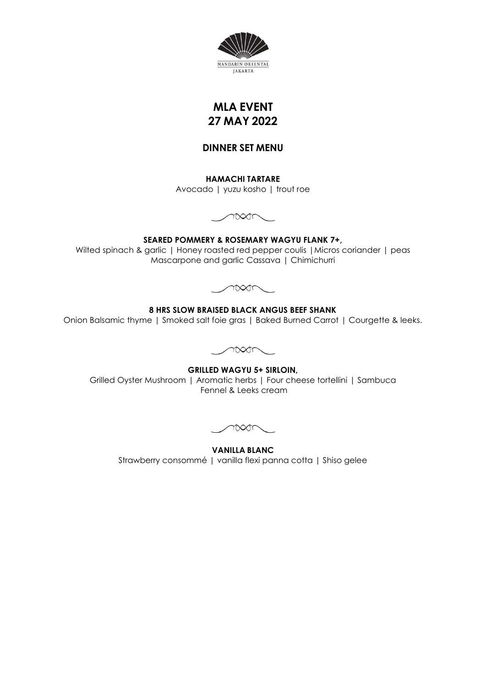

# **MLA EVENT 27 MAY 2022**

### **DINNER SET MENU**

**HAMACHI TARTARE** Avocado | yuzu kosho | trout roe



**SEARED POMMERY & ROSEMARY WAGYU FLANK 7+,**  Wilted spinach & garlic | Honey roasted red pepper coulis | Micros coriander | peas Mascarpone and garlic Cassava | Chimichurri



**8 HRS SLOW BRAISED BLACK ANGUS BEEF SHANK**

Onion Balsamic thyme | Smoked salt foie gras | Baked Burned Carrot | Courgette & leeks.



**GRILLED WAGYU 5+ SIRLOIN,**  Grilled Oyster Mushroom | Aromatic herbs | Four cheese tortellini | Sambuca Fennel & Leeks cream

 $\sim$ 

**VANILLA BLANC** Strawberry consommé | vanilla flexi panna cotta | Shiso gelee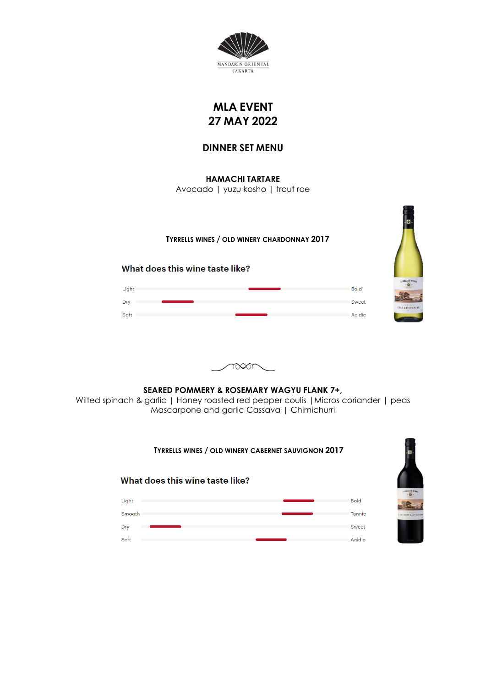

# **MLA EVENT 27 MAY 2022**

## **DINNER SET MENU**

**HAMACHI TARTARE** Avocado | yuzu kosho | trout roe

#### **TYRRELLS WINES / OLD WINERY CHARDONNAY 2017**

What does this wine taste like?

Light

Dry **Company** 

Soft and the company of the state of the state of the state of the state of the state of the state of the state of the state of the state of the state of the state of the state of the state of the state of the state of the





## **SEARED POMMERY & ROSEMARY WAGYU FLANK 7+,**  Wilted spinach & garlic | Honey roasted red pepper coulis | Micros coriander | peas Mascarpone and garlic Cassava | Chimichurri

#### **TYRRELLS WINES / OLD WINERY CABERNET SAUVIGNON 2017**